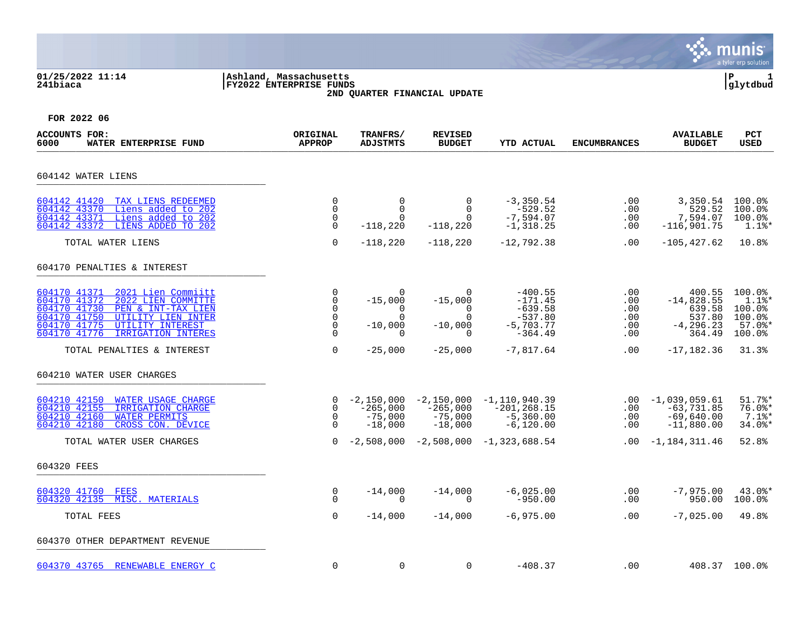### **01/25/2022 11:14 |Ashland, Massachusetts |P 1 241biaca |FY2022 ENTERPRISE FUNDS |glytdbud 2ND QUARTER FINANCIAL UPDATE**



| <b>ACCOUNTS FOR:</b><br>6000<br>WATER ENTERPRISE FUND                                                                                                                                                                          | ORIGINAL<br><b>APPROP</b>                                              | TRANFRS/<br><b>ADJSTMTS</b>                                            | <b>REVISED</b><br><b>BUDGET</b>                                        | YTD ACTUAL                                                                   | <b>ENCUMBRANCES</b>                    | <b>AVAILABLE</b><br><b>BUDGET</b>                                    | <b>PCT</b><br><b>USED</b>                                                                  |
|--------------------------------------------------------------------------------------------------------------------------------------------------------------------------------------------------------------------------------|------------------------------------------------------------------------|------------------------------------------------------------------------|------------------------------------------------------------------------|------------------------------------------------------------------------------|----------------------------------------|----------------------------------------------------------------------|--------------------------------------------------------------------------------------------|
| 604142 WATER LIENS                                                                                                                                                                                                             |                                                                        |                                                                        |                                                                        |                                                                              |                                        |                                                                      |                                                                                            |
| 604142 41420<br>TAX LIENS REDEEMED<br>Liens added to 202<br>604142 43370<br>604142 43371<br>Liens added to 202<br>LIENS ADDED TO 202<br>604142 43372                                                                           | 0<br>0<br>0<br>$\mathbf 0$                                             | $\mathbf 0$<br>$\Omega$<br>$\Omega$<br>$-118,220$                      | $\mathbf 0$<br>$\Omega$<br>$\Omega$<br>$-118,220$                      | $-3, 350.54$<br>$-529.52$<br>$-7,594.07$<br>$-1, 318.25$                     | $.00 \,$<br>$.00 \,$<br>.00<br>.00     | 3,350.54<br>529.52<br>7,594.07<br>$-116,901.75$                      | 100.0%<br>$100.0$ °<br>100.0%<br>$1.1$ %*                                                  |
| TOTAL WATER LIENS                                                                                                                                                                                                              | $\mathbf 0$                                                            | $-118,220$                                                             | $-118,220$                                                             | $-12,792.38$                                                                 | .00                                    | $-105, 427.62$                                                       | 10.8%                                                                                      |
| 604170 PENALTIES & INTEREST                                                                                                                                                                                                    |                                                                        |                                                                        |                                                                        |                                                                              |                                        |                                                                      |                                                                                            |
| 604170 41371<br>2021 Lien Commiitt<br>604170 41372<br>2022 LIEN COMMITTE<br>604170 41730<br>PEN & INT-TAX LIEN<br>604170 41750<br>UTILITY LIEN INTER<br>604170 41775<br>UTILITY INTEREST<br>604170 41776<br>IRRIGATION INTERES | 0<br>$\mathbf 0$<br>$\Omega$<br>$\mathbf 0$<br>$\mathbf 0$<br>$\Omega$ | $\Omega$<br>$-15,000$<br>$\Omega$<br>$\Omega$<br>$-10,000$<br>$\Omega$ | $\Omega$<br>$-15,000$<br>$\Omega$<br>$\Omega$<br>$-10,000$<br>$\Omega$ | $-400.55$<br>$-171.45$<br>$-639.58$<br>$-537.80$<br>$-5,703.77$<br>$-364.49$ | .00<br>.00<br>.00<br>.00<br>.00<br>.00 | 400.55<br>$-14,828.55$<br>639.58<br>537.80<br>$-4, 296.23$<br>364.49 | 100.0%<br>$1.1$ %*<br>$100.0$ <sup>8</sup><br>100.0%<br>$57.0$ $*$<br>$100.0$ <sup>8</sup> |
| TOTAL PENALTIES & INTEREST                                                                                                                                                                                                     | 0                                                                      | $-25,000$                                                              | $-25,000$                                                              | $-7,817.64$                                                                  | $.00 \,$                               | $-17,182.36$                                                         | 31.3%                                                                                      |
| 604210 WATER USER CHARGES                                                                                                                                                                                                      |                                                                        |                                                                        |                                                                        |                                                                              |                                        |                                                                      |                                                                                            |
| 604210 42150<br><b>WATER USAGE CHARGE</b><br>604210 42155<br>IRRIGATION CHARGE<br>604210 42160<br><b>WATER PERMITS</b><br>604210 42180<br>CROSS CON. DEVICE                                                                    | $\Omega$<br>$\mathbf 0$<br>$\Omega$<br>$\Omega$                        | $-2,150,000$<br>$-265,000$<br>$-75,000$<br>$-18,000$                   | $-2,150,000$<br>$-265,000$<br>$-75,000$<br>$-18,000$                   | $-1,110,940.39$<br>$-201, 268.15$<br>$-5,360.00$<br>$-6, 120.00$             | $.00 \,$<br>$.00 \,$<br>.00<br>.00     | $-1,039,059.61$<br>$-63,731.85$<br>$-69,640.00$<br>$-11,880.00$      | $51.7$ %*<br>$76.0$ *<br>$7.1$ $\text{*}$<br>$34.0$ %*                                     |
| TOTAL WATER USER CHARGES                                                                                                                                                                                                       | $\Omega$                                                               | $-2,508,000$                                                           |                                                                        | $-2,508,000 -1,323,688.54$                                                   |                                        | $.00 - 1,184,311.46$                                                 | 52.8%                                                                                      |
| 604320 FEES                                                                                                                                                                                                                    |                                                                        |                                                                        |                                                                        |                                                                              |                                        |                                                                      |                                                                                            |
| 604320 41760 FEES<br>604320 42135 MISC. MATERIALS                                                                                                                                                                              | 0<br>$\Omega$                                                          | $-14,000$<br>$\Omega$                                                  | $-14,000$<br>$\Omega$                                                  | $-6,025.00$<br>$-950.00$                                                     | .00<br>.00                             | $-7,975.00$<br>950.00                                                | 43.0%*<br>$100.0$ $^{\circ}$                                                               |
| TOTAL FEES                                                                                                                                                                                                                     | 0                                                                      | $-14,000$                                                              | $-14,000$                                                              | $-6,975.00$                                                                  | .00                                    | $-7,025.00$                                                          | 49.8%                                                                                      |
| 604370 OTHER DEPARTMENT REVENUE                                                                                                                                                                                                |                                                                        |                                                                        |                                                                        |                                                                              |                                        |                                                                      |                                                                                            |
| 604370 43765 RENEWABLE ENERGY C                                                                                                                                                                                                | $\mathbf 0$                                                            | $\mathbf 0$                                                            | 0                                                                      | $-408.37$                                                                    | .00                                    |                                                                      | 408.37 100.0%                                                                              |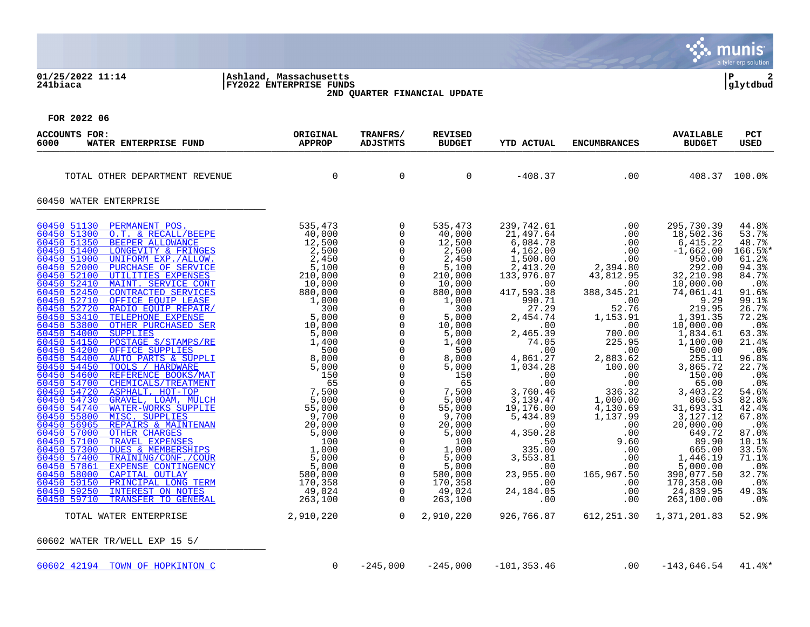#### **01/25/2022 11:14 |Ashland, Massachusetts |P 2 241biaca |FY2022 ENTERPRISE FUNDS |glytdbud 2ND QUARTER FINANCIAL UPDATE**



| ACCOUNTS FOR:<br>WATER ENTERPRISE FUND<br>6000                                                                                                                                                                                                                                                                                                                                                                                                                                                                                                                                                                                                                                                                                                                                                                                                                                                                                                                                                                                                                                                                                                                                                                                                                                                                                                                                                                                                                                                                                                                                                                                                                    | ORIGINAL<br><b>APPROP</b>              | TRANFRS/<br>ADJSTMTS                                                                                                                                                                                                                                                                                                                                                                                                                                                                                                                                        | <b>REVISED</b><br><b>BUDGET</b>                                                                                                                                                                                                                                                                                                     | <b>YTD ACTUAL</b>                                                                                                                                                                                                                                                                                                                                                                                      | <b>ENCUMBRANCES</b>                                                                                                                                                                                                                                                                                              | <b>AVAILABLE</b><br><b>BUDGET</b>                                                                                                                                                                                                                                                                                                                                                                                                         | PCT<br>USED                                                                                                                                                                                                                                                                                                                                          |
|-------------------------------------------------------------------------------------------------------------------------------------------------------------------------------------------------------------------------------------------------------------------------------------------------------------------------------------------------------------------------------------------------------------------------------------------------------------------------------------------------------------------------------------------------------------------------------------------------------------------------------------------------------------------------------------------------------------------------------------------------------------------------------------------------------------------------------------------------------------------------------------------------------------------------------------------------------------------------------------------------------------------------------------------------------------------------------------------------------------------------------------------------------------------------------------------------------------------------------------------------------------------------------------------------------------------------------------------------------------------------------------------------------------------------------------------------------------------------------------------------------------------------------------------------------------------------------------------------------------------------------------------------------------------|----------------------------------------|-------------------------------------------------------------------------------------------------------------------------------------------------------------------------------------------------------------------------------------------------------------------------------------------------------------------------------------------------------------------------------------------------------------------------------------------------------------------------------------------------------------------------------------------------------------|-------------------------------------------------------------------------------------------------------------------------------------------------------------------------------------------------------------------------------------------------------------------------------------------------------------------------------------|--------------------------------------------------------------------------------------------------------------------------------------------------------------------------------------------------------------------------------------------------------------------------------------------------------------------------------------------------------------------------------------------------------|------------------------------------------------------------------------------------------------------------------------------------------------------------------------------------------------------------------------------------------------------------------------------------------------------------------|-------------------------------------------------------------------------------------------------------------------------------------------------------------------------------------------------------------------------------------------------------------------------------------------------------------------------------------------------------------------------------------------------------------------------------------------|------------------------------------------------------------------------------------------------------------------------------------------------------------------------------------------------------------------------------------------------------------------------------------------------------------------------------------------------------|
| TOTAL OTHER DEPARTMENT REVENUE                                                                                                                                                                                                                                                                                                                                                                                                                                                                                                                                                                                                                                                                                                                                                                                                                                                                                                                                                                                                                                                                                                                                                                                                                                                                                                                                                                                                                                                                                                                                                                                                                                    | $\overline{0}$                         | $\mathbf 0$                                                                                                                                                                                                                                                                                                                                                                                                                                                                                                                                                 | $\Omega$                                                                                                                                                                                                                                                                                                                            | -408.37                                                                                                                                                                                                                                                                                                                                                                                                | $\sim$ 00                                                                                                                                                                                                                                                                                                        | 408.37 100.0%                                                                                                                                                                                                                                                                                                                                                                                                                             |                                                                                                                                                                                                                                                                                                                                                      |
| 60450 WATER ENTERPRISE                                                                                                                                                                                                                                                                                                                                                                                                                                                                                                                                                                                                                                                                                                                                                                                                                                                                                                                                                                                                                                                                                                                                                                                                                                                                                                                                                                                                                                                                                                                                                                                                                                            |                                        |                                                                                                                                                                                                                                                                                                                                                                                                                                                                                                                                                             |                                                                                                                                                                                                                                                                                                                                     |                                                                                                                                                                                                                                                                                                                                                                                                        |                                                                                                                                                                                                                                                                                                                  |                                                                                                                                                                                                                                                                                                                                                                                                                                           |                                                                                                                                                                                                                                                                                                                                                      |
| 60450 51130<br>PERMANENT POS.<br>60450 51300<br>O.T. & RECALL/BEEPE<br>60450 51350<br>BEEPER ALLOWANCE<br>EEPE 535,440<br>E 40,000<br>NGES 12,500<br>NGES 2,500<br>2,500<br>2,500<br>2,500<br>2,500<br>2,500<br>2,410<br>2,500<br>2,410<br>210,000<br>10,000<br>10,000<br>AIR/<br>1,000<br>AIR/<br>5,000<br>AIR/<br>5,000<br>5,000<br>5,000<br>5,000<br>5,000<br>5,000<br>5,000<br>5,000<br>5,00<br>60450 51400<br>LONGEVITY & FRINGES<br>60450 51900<br>UNIFORM EXP./ALLOW.<br>60450 52000<br>PURCHASE OF SERVICE<br>60450 52100<br>UTILITIES EXPENSES<br>60450 52410<br>MAINT. SERVICE CONT<br>60450 52450<br>CONTRACTED SERVICES<br>60450 52710<br>OFFICE EOUIP LEASE<br>60450 52720<br>RADIO EQUIP REPAIR/<br>60450 53410<br>TELEPHONE EXPENSE<br>60450 53800<br>OTHER PURCHASED SER<br>60450 54000<br><b>SUPPLIES</b><br>60450 54150<br>POSTAGE \$/STAMPS/RE<br>60450 54200<br>OFFICE SUPPLIES<br>60450 54400<br>AUTO PARTS & SUPPLI<br>60450 54450<br>TOOLS / HARDWARE<br>60450 54600<br>REFERENCE BOOKS/MAT<br>60450 54700<br>CHEMICALS/TREATMENT<br>60450 54720<br>ASPHALT, HOT-TOP<br>60450 54730<br>GRAVEL, LOAM, MULCH<br>60450 54740<br>WATER-WORKS SUPPLIE<br>60450 55800<br>MISC. SUPPLIES<br>60450 56965<br>REPAIRS & MAINTENAN<br>60450 57000<br><b>OTHER CHARGES</b><br>60450 57100<br>TRAVEL EXPENSES<br>60450 57300<br>DUES & MEMBERSHIPS<br>60450 57400<br>TRAINING/CONF./COUR<br>EXPENSE CONTINGENCY<br>60450 57861<br>60450 58000<br>CAPITAL OUTLAY<br>60450 59150<br>PRINCIPAL LONG TERM<br>60450 59250<br>INTEREST ON NOTES<br>60450 59710<br>TRANSFER TO GENERAL<br>2,910,220<br>TOTAL WATER ENTERPRISE<br>60602 WATER TR/WELL EXP 15 5/ | 535,473<br>40,000<br>49,024<br>263,100 | $\overline{0}$<br>$\mathbf 0$<br>$\overline{0}$<br>$\mathsf{O}$<br>$\Omega$<br>$\mathsf{O}$<br>$\mathsf{O}$<br>$\mathsf{O}$<br>$\mathsf{O}$<br>$\mathbf 0$<br>$\overline{0}$<br>$\mathbf 0$<br>$\mathbf 0$<br>$\mathbf 0$<br>$\mathsf{O}$<br>$\mathbf 0$<br>$\mathsf{O}$<br>$\mathbf 0$<br>$\mathbf 0$<br>$\mathbf 0$<br>$\mathsf{O}$<br>$\mathbf 0$<br>$\mathsf{O}$<br>$\mathbf 0$<br>$\mathsf{O}$<br>$\mathbf 0$<br>0<br>$\overline{0}$<br>$\mathbf 0$<br>$\mathsf{O}$<br>$\mathsf{O}$<br>$\mathbf 0$<br>$\mathsf{O}$<br>$\overline{0}$<br>$\overline{0}$ | 535,473<br>40,000<br>12,500<br>2,500<br>2,450<br>5,100<br>210,000<br>10,000<br>880,000<br>1,000<br>300<br>5,000<br>10,000<br>5,000<br>1,400<br>500<br>8,000<br>5,000<br>150<br>65<br>7,500<br>5,000<br>55,000<br>9,700<br>20,000<br>5,000<br>100<br>1,000<br>5,000<br>5,000<br>580,000<br>170,358<br>49,024<br>263,100<br>2,910,220 | 239,742.61<br>21,497.64<br>6,084.78<br>4,162.00<br>1,500.00<br>2,413.20<br>133,976.07<br>.00<br>417,593.38<br>990.71<br>27.29<br>2,454.74<br>.00<br>2,465.39<br>74.05<br>.00<br>4,861.27<br>1,034.28<br>.00<br>.00<br>3,760.46<br>3,139.47<br>19,176.00<br>5,434.89<br>$\sim$ 00<br>4,350.28<br>.50<br>335.00<br>3,553.81<br>$\overline{100}$ .<br>23,955.00<br>.00<br>24, 184.05<br>.00<br>926,766.87 | $0.00$ .<br>$2,394.80$<br>2,394.80<br>43,812.95<br>.00<br>388, 345. 21<br>.00<br>52.76<br>1,153.91<br>.00<br>700.00<br>225.95<br>.00<br>00 .<br>2,883.62 .<br>100.00<br>.00<br>.00<br>$336.32$<br>1,000.00<br>4,130.69<br>1,137.99<br>.00<br>.00<br>9.60<br>.00<br>.00<br>.00<br>165,967.50<br>.00<br>.00<br>.00 | 295,730.39<br>18,502.36<br>6,415.22<br>$-1,662.00$<br>950.00<br>292.00<br>32,210.98<br>10,000.00<br>74,061.41<br>9.29<br>219.95<br>1,391.35<br>10,000.00<br>1,834.61<br>1,100.00<br>500.00<br>255.11<br>3,865.72<br>150.00<br>65.00<br>3,403.22<br>860.53<br>31,693.31<br>3,127.12<br>20,000.00<br>649.72<br>89.90<br>665.00<br>1,446.19<br>5,000.00<br>390,077.50<br>170,358.00<br>24,839.95<br>263,100.00<br>612, 251.30 1, 371, 201.83 | 44.8%<br>53.7%<br>48.7%<br>166.5%*<br>61.2%<br>94.3%<br>84.7%<br>.0 <sup>°</sup><br>91.6%<br>99.1%<br>26.7%<br>72.2%<br>$.0\%$<br>63.3%<br>21.4%<br>$.0\%$<br>96.8%<br>22.7%<br>.0 <sub>8</sub><br>.0%<br>54.6%<br>82.8%<br>42.4%<br>67.8%<br>.0%<br>87.0%<br>10.1%<br>33.5%<br>71.1%<br>.0%<br>32.7%<br>$.0\%$<br>49.3%<br>.0 <sup>°</sup><br>52.9% |
| 60602 42194 TOWN OF HOPKINTON C                                                                                                                                                                                                                                                                                                                                                                                                                                                                                                                                                                                                                                                                                                                                                                                                                                                                                                                                                                                                                                                                                                                                                                                                                                                                                                                                                                                                                                                                                                                                                                                                                                   | $\overline{0}$                         | $-245,000$                                                                                                                                                                                                                                                                                                                                                                                                                                                                                                                                                  | $-245,000$                                                                                                                                                                                                                                                                                                                          | $-101, 353.46$                                                                                                                                                                                                                                                                                                                                                                                         | .00                                                                                                                                                                                                                                                                                                              | $-143,646.54$                                                                                                                                                                                                                                                                                                                                                                                                                             | $41.4$ %*                                                                                                                                                                                                                                                                                                                                            |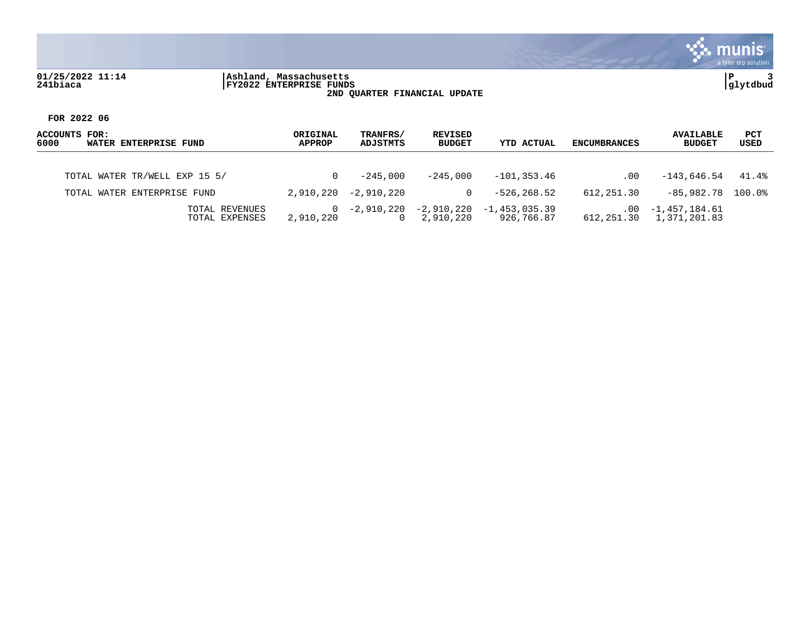### **01/25/2022 11:14 |Ashland, Massachusetts |P 3 241biaca |FY2022 ENTERPRISE FUNDS |glytdbud 2ND QUARTER FINANCIAL UPDATE**



| ACCOUNTS FOR:<br>6000<br>WATER ENTERPRISE FUND | ORIGINAL<br><b>APPROP</b> | TRANFRS/<br>ADJSTMTS   | <b>REVISED</b><br><b>BUDGET</b> | YTD ACTUAL                               | <b>ENCUMBRANCES</b> | <b>AVAILABLE</b><br><b>BUDGET</b>           | PCT<br>USED |
|------------------------------------------------|---------------------------|------------------------|---------------------------------|------------------------------------------|---------------------|---------------------------------------------|-------------|
| TOTAL WATER TR/WELL EXP 15 5/                  |                           | $-245.000$             | $-245.000$                      | -101,353.46                              | .00                 | $-143.646.54$                               | 41.4%       |
| TOTAL WATER ENTERPRISE FUND                    | 2,910,220                 | -2,910,220             | 0                               | $-526.268.52$                            | 612,251.30          | -85,982.78                                  | 100.0%      |
| TOTAL REVENUES<br>TOTAL EXPENSES               | $\Omega$<br>2,910,220     | -2,910,220<br>$\Omega$ | 2,910,220                       | $-2,910,220 -1,453,035.39$<br>926,766.87 | .00                 | -1,457,184.61<br>612, 251.30 1, 371, 201.83 |             |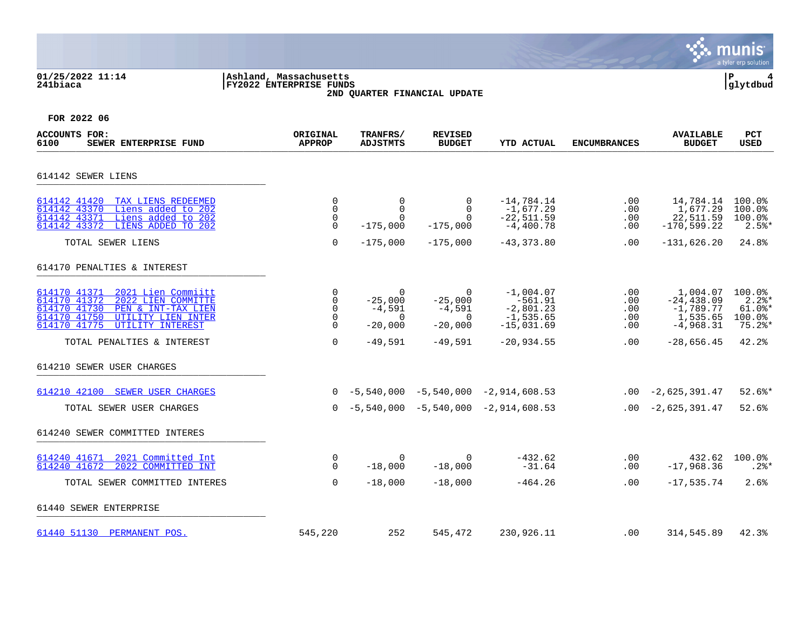### **01/25/2022 11:14 |Ashland, Massachusetts |P 4 241biaca |FY2022 ENTERPRISE FUNDS |glytdbud 2ND QUARTER FINANCIAL UPDATE**



| ACCOUNTS FOR:<br>6100<br>SEWER ENTERPRISE FUND                                                                                                                                                                         | ORIGINAL<br><b>APPROP</b>                                              | TRANFRS/<br><b>ADJSTMTS</b>                                                | <b>REVISED</b><br><b>BUDGET</b>                                  | <b>YTD ACTUAL</b>                                                                       | <b>ENCUMBRANCES</b>                    | <b>AVAILABLE</b><br><b>BUDGET</b>                                                   | <b>PCT</b><br><b>USED</b>                                       |
|------------------------------------------------------------------------------------------------------------------------------------------------------------------------------------------------------------------------|------------------------------------------------------------------------|----------------------------------------------------------------------------|------------------------------------------------------------------|-----------------------------------------------------------------------------------------|----------------------------------------|-------------------------------------------------------------------------------------|-----------------------------------------------------------------|
| 614142 SEWER LIENS                                                                                                                                                                                                     |                                                                        |                                                                            |                                                                  |                                                                                         |                                        |                                                                                     |                                                                 |
| 614142 41420 TAX LIENS REDEEMED<br>Liens added to 202<br>614142 43370<br>Liens added to 202<br>614142 43371<br>LIENS ADDED TO 202<br>614142 43372                                                                      | 0<br>0<br>0<br>$\Omega$                                                | $\overline{0}$<br>$\Omega$<br>$\Omega$<br>$-175,000$                       | 0<br>$\Omega$<br>$\Omega$<br>$-175,000$                          | $-14,784.14$<br>$-1,677.29$<br>$-22,511.59$<br>$-4,400.78$                              | .00<br>.00<br>.00<br>.00               | 14,784.14<br>1,677.29<br>22,511.59<br>$-170, 599.22$                                | 100.0%<br>100.0%<br>100.0%<br>$2.5$ $*$                         |
| TOTAL SEWER LIENS                                                                                                                                                                                                      | $\Omega$                                                               | $-175,000$                                                                 | $-175,000$                                                       | $-43, 373.80$                                                                           | .00                                    | $-131,626.20$                                                                       | 24.8%                                                           |
| 614170 PENALTIES & INTEREST                                                                                                                                                                                            |                                                                        |                                                                            |                                                                  |                                                                                         |                                        |                                                                                     |                                                                 |
| 614170 41371<br>2021 Lien Commiitt<br>614170 41372<br>2022 LIEN COMMITTE<br>614170 41730<br>PEN & INT-TAX LIEN<br>614170 41750<br>UTILITY LIEN INTER<br>614170 41775<br>UTILITY INTEREST<br>TOTAL PENALTIES & INTEREST | 0<br>$\mathbf 0$<br>$\mathbf 0$<br>$\mathbf 0$<br>$\Omega$<br>$\Omega$ | $\mathbf 0$<br>$-25,000$<br>$-4,591$<br>$\Omega$<br>$-20,000$<br>$-49,591$ | $\Omega$<br>$-25,000$<br>$-4,591$<br>0<br>$-20,000$<br>$-49,591$ | $-1,004.07$<br>$-561.91$<br>$-2,801.23$<br>$-1, 535.65$<br>$-15,031.69$<br>$-20,934.55$ | .00<br>.00<br>.00<br>.00<br>.00<br>.00 | 1,004.07<br>$-24, 438.09$<br>$-1,789.77$<br>1,535.65<br>$-4,968.31$<br>$-28,656.45$ | 100.0%<br>$2.2$ $*$<br>$61.0$ %*<br>100.0%<br>$75.2$ *<br>42.2% |
| 614210 SEWER USER CHARGES                                                                                                                                                                                              |                                                                        |                                                                            |                                                                  |                                                                                         |                                        |                                                                                     |                                                                 |
| 614210 42100 SEWER USER CHARGES<br>TOTAL SEWER USER CHARGES                                                                                                                                                            |                                                                        |                                                                            |                                                                  | $0 -5,540,000 -5,540,000 -2,914,608.53$<br>$0 -5,540,000 -5,540,000 -2,914,608.53$      |                                        | $.00 -2,625,391.47$<br>$.00 -2,625,391.47$                                          | $52.6$ *<br>52.6%                                               |
| 614240 SEWER COMMITTED INTERES                                                                                                                                                                                         |                                                                        |                                                                            |                                                                  |                                                                                         |                                        |                                                                                     |                                                                 |
| 614240 41671<br>2021 Committed Int<br>614240 41672<br>2022 COMMITTED INT                                                                                                                                               | 0<br>$\Omega$                                                          | $\Omega$<br>$-18,000$                                                      | $\Omega$<br>$-18,000$                                            | -432.62<br>$-31.64$                                                                     | .00<br>.00                             | 432.62<br>$-17,968.36$                                                              | 100.0%<br>$.2$ $*$                                              |
| TOTAL SEWER COMMITTED INTERES                                                                                                                                                                                          | $\Omega$                                                               | $-18,000$                                                                  | $-18,000$                                                        | $-464.26$                                                                               | $.00 \,$                               | $-17,535.74$                                                                        | 2.6%                                                            |
| 61440 SEWER ENTERPRISE                                                                                                                                                                                                 |                                                                        |                                                                            |                                                                  |                                                                                         |                                        |                                                                                     |                                                                 |
| 61440 51130 PERMANENT POS.                                                                                                                                                                                             | 545,220                                                                | 252                                                                        | 545,472                                                          | 230,926.11                                                                              | .00                                    | 314,545.89                                                                          | 42.3%                                                           |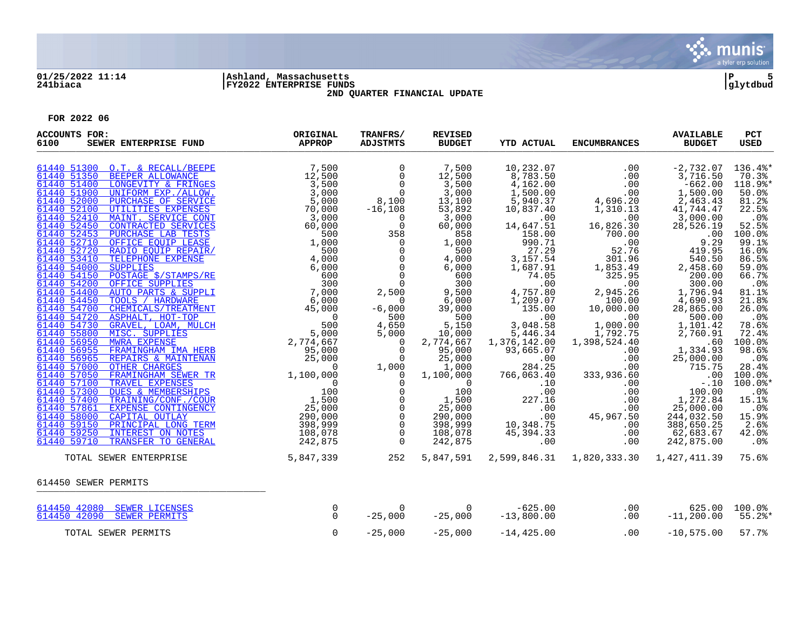

### **01/25/2022 11:14 |Ashland, Massachusetts |P 5 241biaca |FY2022 ENTERPRISE FUNDS |glytdbud 2ND QUARTER FINANCIAL UPDATE**



| <b>ACCOUNTS FOR:</b><br>6100<br>SEWER ENTERPRISE FUND                                                                                                                                                                                                                                                                                                                                                                                                                                                                                                                                                                                                                                                                                                        | ORIGINAL<br><b>APPROP</b>                                                                                                           | TRANFRS/<br><b>ADJSTMTS</b>                                                                                                                                                                                                                                                                                                                                                                                                                                               | <b>REVISED</b><br><b>BUDGET</b>                                                                                                                                                                                                                                                                                                                     | <b>YTD ACTUAL</b>                                                                                                                                                                                                                                                                                                                                                                                                                                                                 | <b>ENCUMBRANCES</b>                                                                                                                                                                                                                                                                                                                                                                                                                               | <b>AVAILABLE</b><br><b>BUDGET</b>                                                                                                                                                                                                                                                                                                                                                                 | PCT<br><b>USED</b>                                                                                                                                                                                                                                                                                                     |
|--------------------------------------------------------------------------------------------------------------------------------------------------------------------------------------------------------------------------------------------------------------------------------------------------------------------------------------------------------------------------------------------------------------------------------------------------------------------------------------------------------------------------------------------------------------------------------------------------------------------------------------------------------------------------------------------------------------------------------------------------------------|-------------------------------------------------------------------------------------------------------------------------------------|---------------------------------------------------------------------------------------------------------------------------------------------------------------------------------------------------------------------------------------------------------------------------------------------------------------------------------------------------------------------------------------------------------------------------------------------------------------------------|-----------------------------------------------------------------------------------------------------------------------------------------------------------------------------------------------------------------------------------------------------------------------------------------------------------------------------------------------------|-----------------------------------------------------------------------------------------------------------------------------------------------------------------------------------------------------------------------------------------------------------------------------------------------------------------------------------------------------------------------------------------------------------------------------------------------------------------------------------|---------------------------------------------------------------------------------------------------------------------------------------------------------------------------------------------------------------------------------------------------------------------------------------------------------------------------------------------------------------------------------------------------------------------------------------------------|---------------------------------------------------------------------------------------------------------------------------------------------------------------------------------------------------------------------------------------------------------------------------------------------------------------------------------------------------------------------------------------------------|------------------------------------------------------------------------------------------------------------------------------------------------------------------------------------------------------------------------------------------------------------------------------------------------------------------------|
| 61440 51300 O.T. & RECALL/BEEPE<br>61440 51350<br>61440 51400<br>61440 51900<br>61440 52000<br>61440 52100<br>61440 52410<br>61440 52450<br>61440 52453<br>61440 52710<br>61440 52720<br>61440 53410<br>61440 54000<br>61440 54150<br>61440 54200<br>61440 54400<br>61440 54450<br>61440 54700<br>61440 54720<br>61440 54730<br>61440 55800<br>61440 56950<br>61440 56955<br>61440 56965<br>61440 57000<br>61440 57050<br>FRAMINGHAM SEWER TR<br>61440 57100<br>TRAVEL EXPENSES<br>61440 57300<br><b>DUES &amp; MEMBERSHIPS</b><br>61440 57400<br>TRAINING/CONF./COUR<br>61440 57861<br>EXPENSE CONTINGENCY<br>61440 58000<br>CAPITAL OUTLAY<br>PRINCIPAL LONG TERM<br>61440 59150<br>61440 59250<br>INTEREST ON NOTES<br>61440 59710<br>TRANSFER TO GENERAL | ER TR 1,100,000<br>ER TR 1,100,000<br>HIPS 100<br><u>COUR</u> 1,500<br>EENCY 25,000<br>TERM 398,999<br>TES 108,078<br>TERAL 242,875 | $\mathbf 0$<br>$\Omega$<br>$\overline{0}$<br>$\Omega$<br>8,100<br>$-16,108$<br>$\overline{0}$<br>$\Omega$<br>358<br>$\overline{0}$<br>$\overline{0}$<br>$\mathsf{O}$<br>$\mathbf 0$<br>$\mathbf 0$<br>$\overline{0}$<br>2,500<br>$\overline{0}$<br>$-6,000$<br>500<br>4,650<br>5,000<br>$\overline{0}$<br>$\Omega$<br>$\overline{0}$<br>1,000<br>$\overline{0}$<br>$\Omega$<br>0<br>$\mathbf 0$<br>$\mathsf{O}$<br>$\mathbf 0$<br>$\mathsf{O}$<br>$\mathbf 0$<br>$\Omega$ | 7,500<br>12,500<br>3,500<br>3,000<br>13,100<br>53,892<br>3,000<br>60,000<br>858<br>1,000<br>500<br>4,000<br>6,000<br>600<br>300<br>9,500<br>6,000<br>39,000<br>500<br>5,150<br>10,000<br>2,774,667<br>95,000<br>25,000<br>1,000<br>1,100,000<br>$\overline{0}$<br>100<br>$\frac{1}{25}$ , 500<br>25,000<br>290,000<br>398,999<br>108,078<br>242,875 | 10,232.07<br>8,783.50<br>4,162.00<br>1,500.00<br>5,940.37<br>10,837.40<br>$\overline{00}$<br>14,647.51<br>158.00<br>990.71<br>27.29<br>3,157.54<br>1,687.91<br>74.05<br>.00<br>4,757.80<br>1,209.07<br>135.00<br>.00<br>3,048.58<br>5,446.34<br>1,376,142.00<br>93,665.07<br>$\sim$ 00<br>284.25<br>284.25<br>766,063.40<br>10.<br>.00<br>227.16<br>.00<br>$\begin{smallmatrix} & & 0 & 0 \ 0 & 0 & 0 & 0 \ 0 & 0 & 0 & 0 & 0 \end{smallmatrix}$<br>10,348.75<br>45,394.33<br>.00 | .00<br>.00<br>$\begin{array}{ccc}\n 1 & 0 & 0 \\  0 & 7 & 4,696.20 \\  1,310.13 & 0 \\  0 & 0 & 0\n \end{array}$<br>16,826.30<br>700.00<br>.00<br>52.76<br>301.96<br>1,853.49<br>325.95<br>.00<br>2,945.26<br>100.00<br>$10,000.00$<br>$00.00$<br>$1,000.00$<br>1,792.75<br>1,398,524.40<br>.00<br>.00<br>333,936<br>.00<br>333,936.60<br>.00<br>.00<br>$\begin{array}{r} .00\ 0.00\ 0.00\ 0.00\ 0.00\ .00\ .00\ .00\ .00\ .00\ .00\ \end{array}$ | $-2,732.07$<br>3,716.50<br>$-662.00$<br>1,500.00<br>2,463.43<br>41,744.47<br>3,000.00<br>28,526.19<br>.00<br>9.29<br>419.95<br>540.50<br>2,458.60<br>200.00<br>300.00<br>1,796.94<br>4,690.93<br>28,865.00<br>500.00<br>1,101.42<br>2,760.91<br>.60<br>1,334.93<br>25,000.00<br>715.75<br>.00<br>$-.10$<br>100.00<br>1,272.84<br>25,000.00<br>244,032.50<br>388,650.25<br>62,683.67<br>242,875.00 | 136.4%*<br>70.3%<br>118.9%*<br>50.0%<br>81.2%<br>22.5%<br>.0%<br>52.5%<br>100.0%<br>99.1%<br>16.0%<br>86.5%<br>59.0%<br>66.7%<br>$.0\%$<br>81.1%<br>21.8%<br>26.0%<br>.0%<br>78.6%<br>72.4%<br>100.0%<br>98.6%<br>$.0\%$<br>28.4%<br>100.0%<br>$100.0$ *<br>$.0\%$<br>15.1%<br>.0%<br>15.9%<br>2.6%<br>42.0%<br>$.0\%$ |
| TOTAL SEWER ENTERPRISE                                                                                                                                                                                                                                                                                                                                                                                                                                                                                                                                                                                                                                                                                                                                       | 5,847,339                                                                                                                           | 252                                                                                                                                                                                                                                                                                                                                                                                                                                                                       | 5,847,591                                                                                                                                                                                                                                                                                                                                           |                                                                                                                                                                                                                                                                                                                                                                                                                                                                                   | 2,599,846.31 1,820,333.30 1,427,411.39                                                                                                                                                                                                                                                                                                                                                                                                            |                                                                                                                                                                                                                                                                                                                                                                                                   | 75.6%                                                                                                                                                                                                                                                                                                                  |
| 614450 SEWER PERMITS                                                                                                                                                                                                                                                                                                                                                                                                                                                                                                                                                                                                                                                                                                                                         |                                                                                                                                     |                                                                                                                                                                                                                                                                                                                                                                                                                                                                           |                                                                                                                                                                                                                                                                                                                                                     |                                                                                                                                                                                                                                                                                                                                                                                                                                                                                   |                                                                                                                                                                                                                                                                                                                                                                                                                                                   |                                                                                                                                                                                                                                                                                                                                                                                                   |                                                                                                                                                                                                                                                                                                                        |
| 614450 42080 SEWER LICENSES<br>614450 42090 SEWER PERMITS                                                                                                                                                                                                                                                                                                                                                                                                                                                                                                                                                                                                                                                                                                    | 0<br>$\Omega$                                                                                                                       | $\Omega$<br>$-25,000$                                                                                                                                                                                                                                                                                                                                                                                                                                                     | $\overline{0}$<br>$-25,000$                                                                                                                                                                                                                                                                                                                         | 625.00 -<br>13,800.00                                                                                                                                                                                                                                                                                                                                                                                                                                                             | .00<br>.00                                                                                                                                                                                                                                                                                                                                                                                                                                        | $-11, 200.00$                                                                                                                                                                                                                                                                                                                                                                                     | 625.00 100.0%<br>$55.2$ *                                                                                                                                                                                                                                                                                              |
| TOTAL SEWER PERMITS                                                                                                                                                                                                                                                                                                                                                                                                                                                                                                                                                                                                                                                                                                                                          | $\Omega$                                                                                                                            | $-25,000$                                                                                                                                                                                                                                                                                                                                                                                                                                                                 | $-25,000$                                                                                                                                                                                                                                                                                                                                           | $-14, 425.00$                                                                                                                                                                                                                                                                                                                                                                                                                                                                     | .00                                                                                                                                                                                                                                                                                                                                                                                                                                               | $-10,575.00$                                                                                                                                                                                                                                                                                                                                                                                      | 57.7%                                                                                                                                                                                                                                                                                                                  |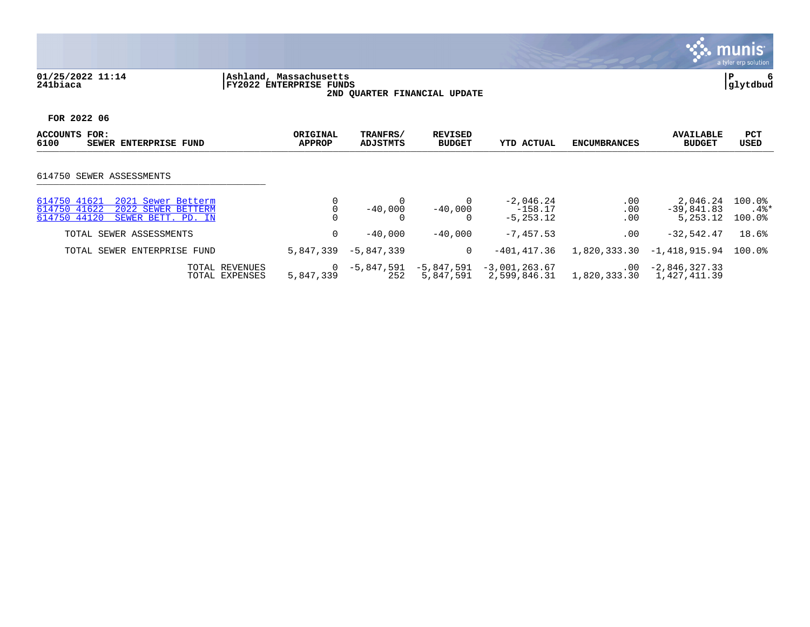## **01/25/2022 11:14 |Ashland, Massachusetts |P 6 241biaca |FY2022 ENTERPRISE FUNDS |glytdbud 2ND QUARTER FINANCIAL UPDATE**



| ACCOUNTS<br>FOR:<br>6100<br>SEWER ENTERPRISE FUND                                                              | ORIGINAL<br><b>APPROP</b> | TRANFRS/<br>ADJSTMTS | <b>REVISED</b><br><b>BUDGET</b> | <b>YTD ACTUAL</b>                        | <b>ENCUMBRANCES</b>      | <b>AVAILABLE</b><br><b>BUDGET</b>      | <b>PCT</b><br>USED             |
|----------------------------------------------------------------------------------------------------------------|---------------------------|----------------------|---------------------------------|------------------------------------------|--------------------------|----------------------------------------|--------------------------------|
| 614750 SEWER ASSESSMENTS                                                                                       |                           |                      |                                 |                                          |                          |                                        |                                |
| 614750 41621<br>2021 Sewer Betterm<br>614750 41622<br>2022 SEWER BETTERM<br>614750 44120<br>SEWER BETT. PD. IN |                           | $-40.000$            | $-40,000$                       | $-2,046.24$<br>$-158.17$<br>$-5, 253.12$ | .00<br>.00<br>.00        | 2,046.24<br>$-39,841.83$<br>5, 253, 12 | $100.0$ %<br>$.4\%*$<br>100.0% |
| TOTAL SEWER ASSESSMENTS                                                                                        | 0                         | $-40.000$            | $-40.000$                       | $-7,457.53$                              | .00                      | $-32,542.47$                           | 18.6%                          |
| TOTAL SEWER ENTERPRISE FUND                                                                                    | 5,847,339                 | $-5,847,339$         | 0                               | $-401, 417.36$                           | 1,820,333.30             | $-1,418,915.94$                        | $100.0$ %                      |
| TOTAL REVENUES<br>TOTAL EXPENSES                                                                               | 5,847,339                 | $-5.847.591$<br>252  | -5,847,591<br>5,847,591         | $-3,001,263.67$<br>2,599,846.31          | $.00 \,$<br>1,820,333.30 | $-2,846,327.33$<br>1,427,411.39        |                                |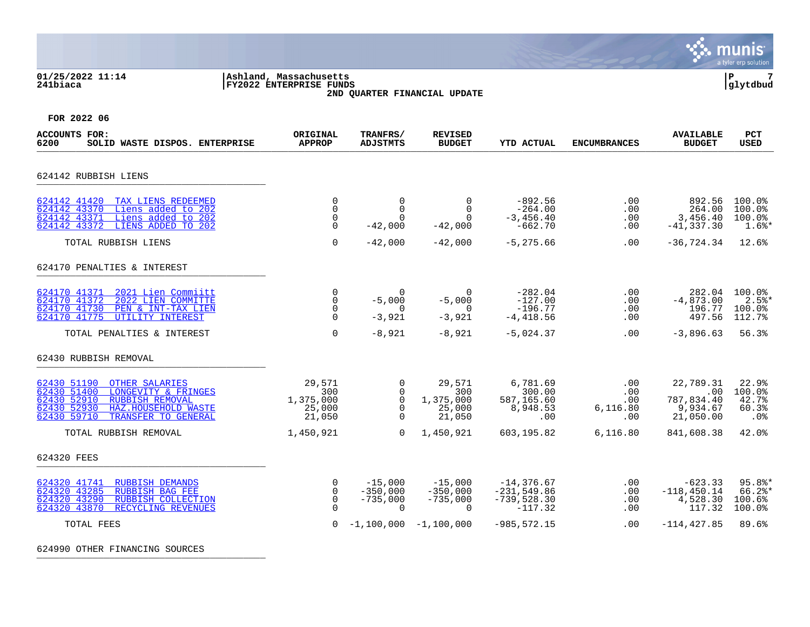### **01/25/2022 11:14 |Ashland, Massachusetts |P 7 241biaca |FY2022 ENTERPRISE FUNDS |glytdbud 2ND QUARTER FINANCIAL UPDATE**



**FOR 2022 06**

| ACCOUNTS FOR:<br>6200<br>SOLID WASTE DISPOS. ENTERPRISE                                                                                                                                         | ORIGINAL<br><b>APPROP</b>                             | TRANFRS/<br><b>ADJSTMTS</b>                                       | <b>REVISED</b><br><b>BUDGET</b>                   | <b>YTD ACTUAL</b>                                             | <b>ENCUMBRANCES</b>                       | <b>AVAILABLE</b><br><b>BUDGET</b>                       | PCT<br><b>USED</b>                               |
|-------------------------------------------------------------------------------------------------------------------------------------------------------------------------------------------------|-------------------------------------------------------|-------------------------------------------------------------------|---------------------------------------------------|---------------------------------------------------------------|-------------------------------------------|---------------------------------------------------------|--------------------------------------------------|
| 624142 RUBBISH LIENS                                                                                                                                                                            |                                                       |                                                                   |                                                   |                                                               |                                           |                                                         |                                                  |
| 624142 41420<br>TAX LIENS REDEEMED<br>Liens added to 202<br>624142 43370<br>Liens added to 202<br>624142 43371<br>LIENS ADDED TO 202<br>624142 43372                                            | $\mathbf 0$<br>$\Omega$<br>$\mathbf 0$<br>$\Omega$    | $\mathbf 0$<br>$\Omega$<br>$\Omega$<br>$-42,000$                  | $\Omega$<br>$\Omega$<br>$\Omega$<br>$-42,000$     | $-892.56$<br>$-264.00$<br>$-3,456.40$<br>$-662.70$            | $.00 \,$<br>.00<br>.00<br>.00             | 892.56<br>264.00<br>3,456.40<br>$-41, 337.30$           | 100.0%<br>100.0%<br>100.0%<br>$1.6$ <sup>*</sup> |
| TOTAL RUBBISH LIENS                                                                                                                                                                             | $\Omega$                                              | $-42,000$                                                         | $-42,000$                                         | $-5, 275.66$                                                  | .00                                       | $-36, 724.34$                                           | 12.6%                                            |
| 624170 PENALTIES & INTEREST                                                                                                                                                                     |                                                       |                                                                   |                                                   |                                                               |                                           |                                                         |                                                  |
| 624170 41371<br>2021 Lien Commiitt<br>624170 41372<br>2022 LIEN COMMITTE<br>624170 41730<br>PEN & INT-TAX LIEN<br>624170 41775<br>UTILITY INTEREST                                              | $\Omega$<br>$\mathbf 0$<br>$\Omega$<br>$\Omega$       | $\Omega$<br>$-5,000$<br>$\Omega$<br>$-3,921$                      | $\Omega$<br>$-5,000$<br>$\Omega$<br>$-3,921$      | $-282.04$<br>$-127.00$<br>$-196.77$<br>$-4,418.56$            | .00<br>.00<br>.00<br>.00                  | 282.04<br>$-4,873.00$<br>196.77<br>497.56               | 100.0%<br>$2.5$ $*$<br>100.0%<br>112.7%          |
| TOTAL PENALTIES & INTEREST                                                                                                                                                                      | $\Omega$                                              | $-8,921$                                                          | $-8,921$                                          | $-5,024.37$                                                   | $.00 \,$                                  | $-3,896.63$                                             | 56.3%                                            |
| 62430 RUBBISH REMOVAL                                                                                                                                                                           |                                                       |                                                                   |                                                   |                                                               |                                           |                                                         |                                                  |
| 62430 51190<br><b>OTHER SALARIES</b><br>62430 51400<br>LONGEVITY & FRINGES<br>62430 52910<br><b>RUBBISH REMOVAL</b><br>62430 52930<br>HAZ.HOUSEHOLD WASTE<br>62430 59710<br>TRANSFER TO GENERAL | 29,571<br>300<br>1,375,000<br>25,000<br>21,050        | $\mathbf 0$<br>$\Omega$<br>$\mathbf 0$<br>$\mathbf 0$<br>$\Omega$ | 29,571<br>300<br>1,375,000<br>25,000<br>21,050    | 6,781.69<br>300.00<br>587,165.60<br>8,948.53<br>.00           | .00<br>$.00 \,$<br>.00<br>6,116.80<br>.00 | 22,789.31<br>.00<br>787,834.40<br>9,934.67<br>21,050.00 | 22.9%<br>100.0%<br>42.7%<br>60.3%<br>.0%         |
| TOTAL RUBBISH REMOVAL                                                                                                                                                                           | 1,450,921                                             | $\Omega$                                                          | 1,450,921                                         | 603,195.82                                                    | 6, 116.80                                 | 841,608.38                                              | 42.0%                                            |
| 624320 FEES                                                                                                                                                                                     |                                                       |                                                                   |                                                   |                                                               |                                           |                                                         |                                                  |
| 624320 41741<br><b>RUBBISH DEMANDS</b><br>624320 43285<br><b>RUBBISH BAG FEE</b><br>624320 43290<br>RUBBISH COLLECTION<br>624320 43870<br>RECYCLING REVENUES                                    | $\mathbf 0$<br>$\mathbf 0$<br>$\mathbf 0$<br>$\Omega$ | $-15,000$<br>$-350,000$<br>$-735,000$<br>$\Omega$                 | $-15,000$<br>$-350.000$<br>$-735,000$<br>$\Omega$ | $-14, 376.67$<br>$-231, 549.86$<br>$-739,528.30$<br>$-117.32$ | .00<br>.00<br>.00<br>.00                  | $-623.33$<br>$-118.450.14$<br>4,528.30<br>117.32        | $95.8$ *<br>$66.2$ *<br>100.6%<br>100.0%         |
| TOTAL FEES                                                                                                                                                                                      | $\Omega$                                              |                                                                   | $-1,100,000 -1,100,000$                           | $-985, 572.15$                                                | .00                                       | $-114, 427.85$                                          | 89.6%                                            |

624990 OTHER FINANCING SOURCES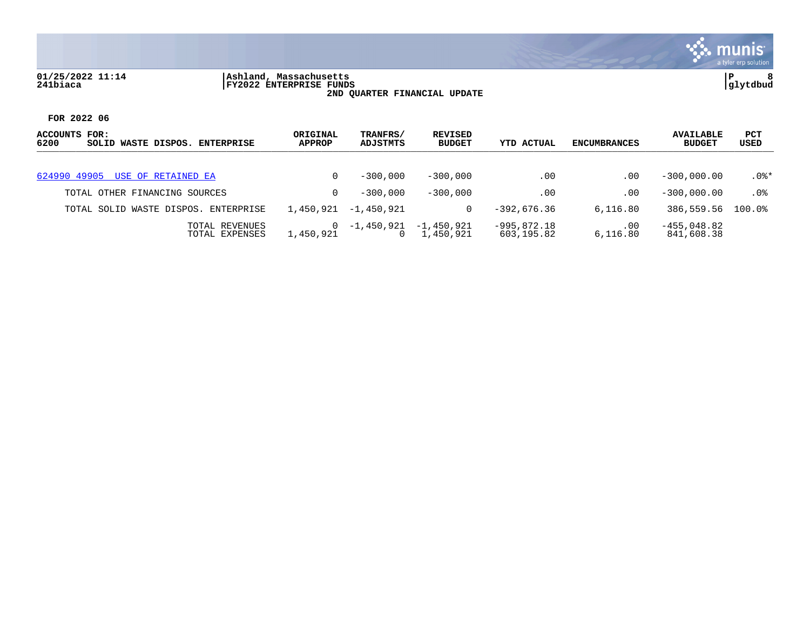

# **01/25/2022 11:14 |Ashland, Massachusetts |P 8 241biaca |FY2022 ENTERPRISE FUNDS |glytdbud 2ND QUARTER FINANCIAL UPDATE**



| ACCOUNTS FOR:<br>6200<br>SOLID WASTE DISPOS.<br><b>ENTERPRISE</b> | ORIGINAL<br><b>APPROP</b> | TRANFRS/<br>ADJSTMTS | REVISED<br><b>BUDGET</b>  | YTD ACTUAL                  | ENCUMBRANCES    | <b>AVAILABLE</b><br><b>BUDGET</b> | PCT<br>USED |
|-------------------------------------------------------------------|---------------------------|----------------------|---------------------------|-----------------------------|-----------------|-----------------------------------|-------------|
| 624990 49905 USE OF RETAINED EA                                   |                           | $-300.000$           | $-300,000$                | .00                         | .00             | $-300.000.00$                     | $.0$ %*     |
| TOTAL OTHER FINANCING SOURCES                                     |                           | $-300,000$           | $-300,000$                | .00                         | $.00 \,$        | $-300.000.00$                     | $.0\%$      |
| TOTAL SOLID WASTE DISPOS. ENTERPRISE                              | 1,450,921                 | $-1.450.921$         | 0                         | $-392.676.36$               | 6.116.80        | 386,559.56                        | $100.0$ °   |
| TOTAL REVENUES<br>TOTAL EXPENSES                                  | 1,450,921                 | -1,450,921           | $-1,450,921$<br>1,450,921 | $-995,872.18$<br>603,195.82 | .00<br>6,116.80 | $-455,048.82$<br>841,608.38       |             |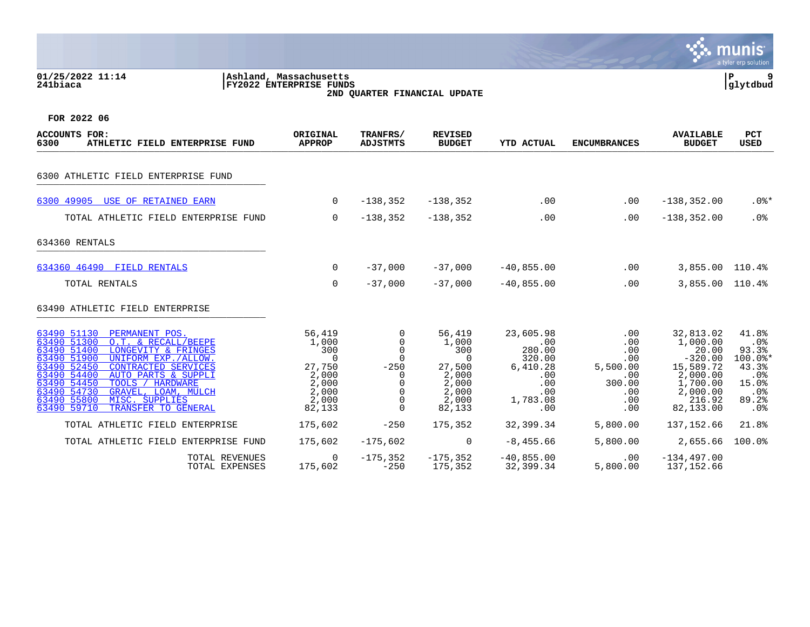**01/25/2022 11:14 |Ashland, Massachusetts |P 9 241biaca |FY2022 ENTERPRISE FUNDS |glytdbud 2ND QUARTER FINANCIAL UPDATE**



| <b>ACCOUNTS FOR:</b><br>6300<br>ATHLETIC FIELD ENTERPRISE FUND                                                                                                                                                                                                                                                                                                                     | ORIGINAL<br><b>APPROP</b>                                                                        | TRANFRS/<br><b>ADJSTMTS</b>                                                                 | <b>REVISED</b><br><b>BUDGET</b>                                                                  | <b>YTD ACTUAL</b>                                                                        | <b>ENCUMBRANCES</b>                                                        | <b>AVAILABLE</b><br><b>BUDGET</b>                                                                                   | <b>PCT</b><br><b>USED</b>                                                                            |
|------------------------------------------------------------------------------------------------------------------------------------------------------------------------------------------------------------------------------------------------------------------------------------------------------------------------------------------------------------------------------------|--------------------------------------------------------------------------------------------------|---------------------------------------------------------------------------------------------|--------------------------------------------------------------------------------------------------|------------------------------------------------------------------------------------------|----------------------------------------------------------------------------|---------------------------------------------------------------------------------------------------------------------|------------------------------------------------------------------------------------------------------|
| 6300 ATHLETIC FIELD ENTERPRISE FUND                                                                                                                                                                                                                                                                                                                                                |                                                                                                  |                                                                                             |                                                                                                  |                                                                                          |                                                                            |                                                                                                                     |                                                                                                      |
| USE OF RETAINED EARN<br>6300 49905                                                                                                                                                                                                                                                                                                                                                 | $\overline{0}$                                                                                   | $-138,352$                                                                                  | $-138,352$                                                                                       | .00                                                                                      | .00                                                                        | $-138, 352.00$                                                                                                      | $.0$ %*                                                                                              |
| TOTAL ATHLETIC FIELD ENTERPRISE FUND                                                                                                                                                                                                                                                                                                                                               | $\overline{0}$                                                                                   | $-138,352$                                                                                  | $-138, 352$                                                                                      | .00                                                                                      | .00                                                                        | $-138, 352.00$                                                                                                      | .0%                                                                                                  |
| 634360 RENTALS                                                                                                                                                                                                                                                                                                                                                                     |                                                                                                  |                                                                                             |                                                                                                  |                                                                                          |                                                                            |                                                                                                                     |                                                                                                      |
| 634360 46490 FIELD RENTALS                                                                                                                                                                                                                                                                                                                                                         | $\Omega$                                                                                         | $-37,000$                                                                                   | $-37,000$                                                                                        | $-40,855.00$                                                                             | .00                                                                        | 3,855.00                                                                                                            | 110.4%                                                                                               |
| TOTAL RENTALS                                                                                                                                                                                                                                                                                                                                                                      | 0                                                                                                | $-37,000$                                                                                   | $-37.000$                                                                                        | $-40,855.00$                                                                             | .00                                                                        | 3,855.00 110.4%                                                                                                     |                                                                                                      |
| 63490 ATHLETIC FIELD ENTERPRISE                                                                                                                                                                                                                                                                                                                                                    |                                                                                                  |                                                                                             |                                                                                                  |                                                                                          |                                                                            |                                                                                                                     |                                                                                                      |
| 63490 51130<br>PERMANENT POS.<br>63490 51300<br>O.T. & RECALL/BEEPE<br>63490 51400<br>LONGEVITY & FRINGES<br>UNIFORM EXP./ALLOW.<br>63490 51900<br>63490 52450<br><b>CONTRACTED SERVICES</b><br>63490 54400<br>AUTO PARTS & SUPPLI<br>63490 54450<br>TOOLS / HARDWARE<br>63490 54730<br>GRAVEL, LOAM, MULCH<br>63490 55800<br>MISC. SUPPLIES<br>63490 59710<br>TRANSFER TO GENERAL | 56,419<br>1,000<br>300<br>$\overline{0}$<br>27,750<br>2,000<br>2,000<br>2,000<br>2,000<br>82,133 | $\overline{0}$<br>0<br>0<br>$\mathbf 0$<br>$-250$<br>$\Omega$<br>0<br>$\mathbf 0$<br>$\cap$ | 56,419<br>1,000<br>300<br>$\overline{0}$<br>27,500<br>2,000<br>2,000<br>2,000<br>2,000<br>82,133 | 23,605.98<br>.00<br>280.00<br>320.00<br>6,410.28<br>.00<br>.00<br>.00<br>1,783.08<br>.00 | .00<br>.00<br>.00<br>.00<br>5,500.00<br>.00<br>300.00<br>.00<br>.00<br>.00 | 32,813.02<br>1,000.00<br>20.00<br>$-320.00$<br>15,589.72<br>2,000.00<br>1,700.00<br>2,000.00<br>216.92<br>82,133.00 | 41.8%<br>$.0\%$<br>93.3%<br>$100.0$ *<br>43.3%<br>.0 <sub>8</sub><br>15.0%<br>$.0\%$<br>89.2%<br>.0% |
| TOTAL ATHLETIC FIELD ENTERPRISE                                                                                                                                                                                                                                                                                                                                                    | 175,602                                                                                          | $-250$                                                                                      | 175,352                                                                                          | 32,399.34                                                                                | 5,800.00                                                                   | 137,152.66                                                                                                          | 21.8%                                                                                                |
| TOTAL ATHLETIC FIELD ENTERPRISE FUND                                                                                                                                                                                                                                                                                                                                               | 175,602                                                                                          | $-175,602$                                                                                  | $\mathbf 0$                                                                                      | $-8, 455.66$                                                                             | 5,800.00                                                                   | 2,655.66                                                                                                            | 100.0%                                                                                               |
| TOTAL REVENUES<br>TOTAL EXPENSES                                                                                                                                                                                                                                                                                                                                                   | $\Omega$<br>175,602                                                                              | $-175,352$<br>$-250$                                                                        | $-175,352$<br>175,352                                                                            | $-40,855.00$<br>32,399.34                                                                | $.00 \,$<br>5,800.00                                                       | $-134, 497.00$<br>137,152.66                                                                                        |                                                                                                      |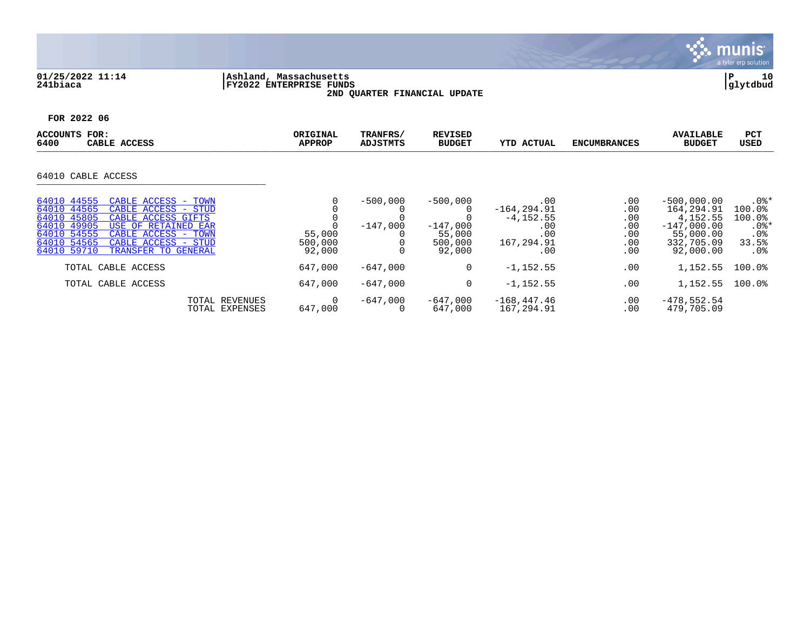

# **01/25/2022 11:14 |Ashland, Massachusetts |P 10 241biaca |FY2022 ENTERPRISE FUNDS |glytdbud 2ND QUARTER FINANCIAL UPDATE**



| <b>ACCOUNTS</b><br>FOR:<br>6400<br>CABLE ACCESS                                                                                                                                                                                                                       | ORIGINAL<br><b>APPROP</b>   | TRANFRS/<br>ADJSTMTS     | <b>REVISED</b><br><b>BUDGET</b>                         | <b>YTD ACTUAL</b>                                                        | <b>ENCUMBRANCES</b>                           | <b>AVAILABLE</b><br><b>BUDGET</b>                                                                 | <b>PCT</b><br><b>USED</b>                                                    |
|-----------------------------------------------------------------------------------------------------------------------------------------------------------------------------------------------------------------------------------------------------------------------|-----------------------------|--------------------------|---------------------------------------------------------|--------------------------------------------------------------------------|-----------------------------------------------|---------------------------------------------------------------------------------------------------|------------------------------------------------------------------------------|
| 64010 CABLE ACCESS                                                                                                                                                                                                                                                    |                             |                          |                                                         |                                                                          |                                               |                                                                                                   |                                                                              |
|                                                                                                                                                                                                                                                                       |                             |                          |                                                         |                                                                          |                                               |                                                                                                   |                                                                              |
| 64010 44555<br>CABLE ACCESS - TOWN<br>64010 44565<br>CABLE ACCESS - STUD<br>64010 45805<br>CABLE ACCESS GIFTS<br>64010 49905<br>USE OF RETAINED EAR<br>64010 54555<br>CABLE ACCESS - TOWN<br>64010 54565<br>CABLE ACCESS - STUD<br>64010 59710<br>TRANSFER TO GENERAL | 55,000<br>500,000<br>92,000 | $-500,000$<br>$-147.000$ | $-500,000$<br>$-147,000$<br>55,000<br>500,000<br>92,000 | .00<br>$-164, 294.91$<br>$-4, 152.55$<br>.00<br>.00<br>167,294.91<br>.00 | .00<br>.00<br>.00<br>.00<br>.00<br>.00<br>.00 | $-500,000.00$<br>164,294.91<br>4, 152.55<br>$-147,000.00$<br>55,000.00<br>332,705.09<br>92,000.00 | $.0$ %*<br>100.0%<br>100.0%<br>$.0$ %*<br>.0 <sub>8</sub><br>33.5%<br>$.0\%$ |
| TOTAL CABLE ACCESS                                                                                                                                                                                                                                                    | 647,000                     | $-647,000$               | 0                                                       | $-1, 152.55$                                                             | .00                                           | 1,152.55                                                                                          | $100.0$ $%$                                                                  |
| TOTAL CABLE ACCESS                                                                                                                                                                                                                                                    | 647,000                     | $-647.000$               | 0                                                       | $-1, 152.55$                                                             | .00                                           | 1,152.55                                                                                          | $100.0$ <sup>8</sup>                                                         |
| TOTAL REVENUES<br>TOTAL EXPENSES                                                                                                                                                                                                                                      | 0<br>647,000                | -647,000<br>0            | $-647,000$<br>647,000                                   | $-168, 447.46$<br>167,294.91                                             | $.00 \,$<br>.00                               | $-478,552.54$<br>479,705.09                                                                       |                                                                              |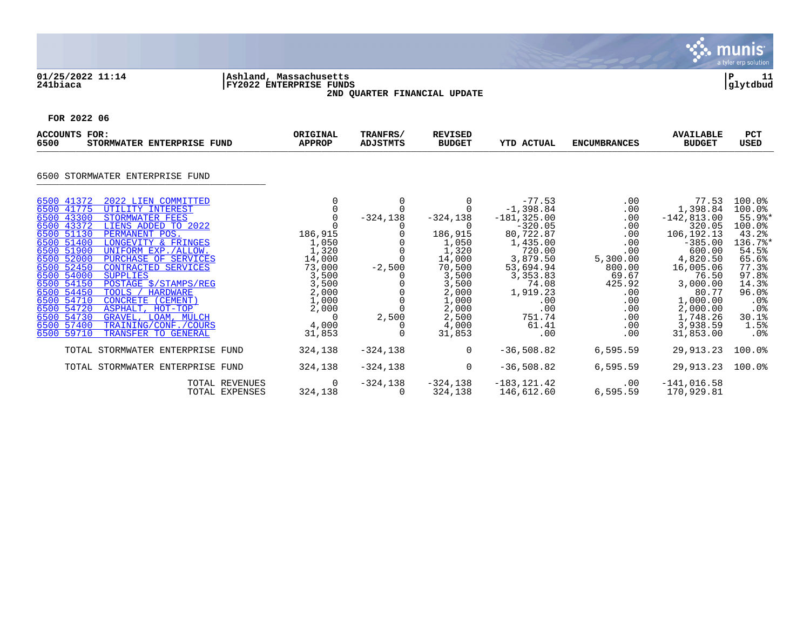

## **01/25/2022 11:14 |Ashland, Massachusetts |P 11 241biaca |FY2022 ENTERPRISE FUNDS |glytdbud 2ND QUARTER FINANCIAL UPDATE**



| <b>ACCOUNTS FOR:</b><br>6500<br>STORMWATER ENTERPRISE FUND                                                                                                                                                                                                                                                                                                                                                                                                                                                                                                                                                                           | ORIGINAL<br><b>APPROP</b>                                                                                                 | TRANFRS/<br><b>ADJSTMTS</b>      | <b>REVISED</b><br><b>BUDGET</b>                                                                                                      | <b>YTD ACTUAL</b>                                                                                                                                                                           | <b>ENCUMBRANCES</b>                                                                                                                        | <b>AVAILABLE</b><br><b>BUDGET</b>                                                                                                                                                                      | <b>PCT</b><br><b>USED</b>                                                                                                                                                   |
|--------------------------------------------------------------------------------------------------------------------------------------------------------------------------------------------------------------------------------------------------------------------------------------------------------------------------------------------------------------------------------------------------------------------------------------------------------------------------------------------------------------------------------------------------------------------------------------------------------------------------------------|---------------------------------------------------------------------------------------------------------------------------|----------------------------------|--------------------------------------------------------------------------------------------------------------------------------------|---------------------------------------------------------------------------------------------------------------------------------------------------------------------------------------------|--------------------------------------------------------------------------------------------------------------------------------------------|--------------------------------------------------------------------------------------------------------------------------------------------------------------------------------------------------------|-----------------------------------------------------------------------------------------------------------------------------------------------------------------------------|
| 6500 STORMWATER ENTERPRISE FUND                                                                                                                                                                                                                                                                                                                                                                                                                                                                                                                                                                                                      |                                                                                                                           |                                  |                                                                                                                                      |                                                                                                                                                                                             |                                                                                                                                            |                                                                                                                                                                                                        |                                                                                                                                                                             |
| 2022 LIEN COMMITTED<br>6500 41372<br>6500 41775<br>UTILITY INTEREST<br>6500 43300<br>STORMWATER FEES<br>6500 43372<br>LIENS ADDED TO 2022<br>6500 51130<br>PERMANENT POS.<br>6500 51400<br>LONGEVITY & FRINGES<br>6500 51900<br>UNIFORM EXP./ALLOW.<br>6500 52000<br>PURCHASE OF SERVICES<br>6500 52450<br><b>CONTRACTED SERVICES</b><br>6500 54000<br><b>SUPPLIES</b><br>6500 54150<br>POSTAGE \$/STAMPS/REG<br>6500 54450<br>TOOLS / HARDWARE<br>6500 54710<br>CONCRETE (CEMENT)<br>6500 54720<br>ASPHALT, HOT-TOP<br>6500 54730<br>GRAVEL, LOAM, MULCH<br>6500 57400<br>TRAINING/CONF./COURS<br>6500 59710<br>TRANSFER TO GENERAL | 186,915<br>1,050<br>1,320<br>14,000<br>73,000<br>3,500<br>3,500<br>2,000<br>1,000<br>2,000<br>$\Omega$<br>4,000<br>31,853 | $-324, 138$<br>$-2,500$<br>2,500 | $-324,138$<br>186,915<br>1,050<br>1,320<br>14,000<br>70,500<br>3,500<br>3,500<br>2,000<br>1,000<br>2,000<br>2,500<br>4,000<br>31,853 | $-77.53$<br>$-1,398.84$<br>$-181, 325.00$<br>$-320.05$<br>80,722.87<br>1,435.00<br>720.00<br>3,879.50<br>53,694.94<br>3,353.83<br>74.08<br>1,919.23<br>.00<br>.00<br>751.74<br>61.41<br>.00 | .00<br>$.00 \,$<br>.00<br>.00<br>$.00 \,$<br>.00<br>.00<br>5,300.00<br>800.00<br>69.67<br>425.92<br>.00<br>.00<br>.00<br>.00<br>.00<br>.00 | 77.53<br>1,398.84<br>$-142, 813.00$<br>320.05<br>106,192.13<br>$-385.00$<br>600.00<br>4,820.50<br>16,005.06<br>76.50<br>3,000.00<br>80.77<br>1,000.00<br>2,000.00<br>1,748.26<br>3,938.59<br>31,853.00 | $100.0$ <sup>8</sup><br>100.0%<br>$55.9$ %*<br>100.0%<br>43.2%<br>136.7%*<br>54.5%<br>65.6%<br>77.3%<br>97.8%<br>14.3%<br>96.0%<br>$.0\%$<br>.0%<br>30.1%<br>1.5%<br>$.0\%$ |
| TOTAL STORMWATER ENTERPRISE FUND                                                                                                                                                                                                                                                                                                                                                                                                                                                                                                                                                                                                     | 324,138                                                                                                                   | $-324,138$                       | $\mathbf 0$                                                                                                                          | $-36,508.82$                                                                                                                                                                                | 6,595.59                                                                                                                                   | 29,913.23                                                                                                                                                                                              | $100.0$ <sup>8</sup>                                                                                                                                                        |
| TOTAL STORMWATER ENTERPRISE FUND                                                                                                                                                                                                                                                                                                                                                                                                                                                                                                                                                                                                     | 324,138                                                                                                                   | $-324,138$                       | $\Omega$                                                                                                                             | $-36,508.82$                                                                                                                                                                                | 6,595.59                                                                                                                                   | 29,913.23                                                                                                                                                                                              | $100.0$ <sup>8</sup>                                                                                                                                                        |
| TOTAL REVENUES                                                                                                                                                                                                                                                                                                                                                                                                                                                                                                                                                                                                                       | 0<br>TOTAL EXPENSES<br>324,138                                                                                            | $-324,138$                       | $-324,138$<br>324,138                                                                                                                | $-183, 121.42$<br>146,612.60                                                                                                                                                                | $.00 \,$<br>6,595.59                                                                                                                       | $-141,016.58$<br>170,929.81                                                                                                                                                                            |                                                                                                                                                                             |